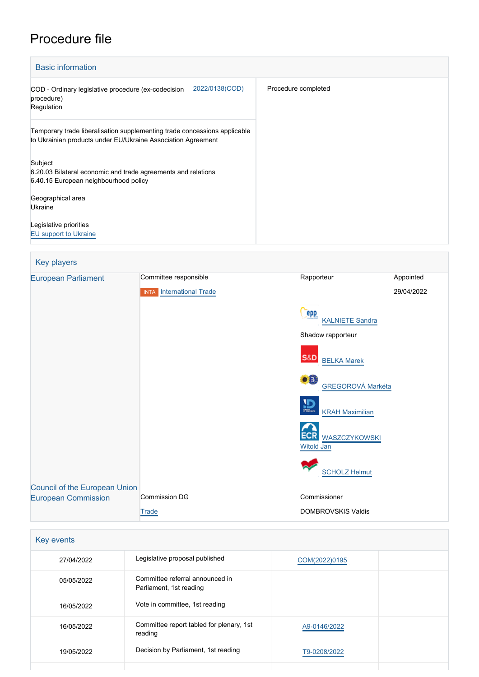## Procedure file

| <b>Basic information</b>                                                                                                                  |                     |  |
|-------------------------------------------------------------------------------------------------------------------------------------------|---------------------|--|
| 2022/0138(COD)<br>COD - Ordinary legislative procedure (ex-codecision<br>procedure)<br>Regulation                                         | Procedure completed |  |
| Temporary trade liberalisation supplementing trade concessions applicable<br>to Ukrainian products under EU/Ukraine Association Agreement |                     |  |
| Subject<br>6.20.03 Bilateral economic and trade agreements and relations<br>6.40.15 European neighbourhood policy                         |                     |  |
| Geographical area<br>Ukraine                                                                                                              |                     |  |
| Legislative priorities<br><b>EU</b> support to Ukraine                                                                                    |                     |  |

| Key players                                                        |                                 |                                                   |            |
|--------------------------------------------------------------------|---------------------------------|---------------------------------------------------|------------|
| <b>European Parliament</b>                                         | Committee responsible           | Rapporteur                                        | Appointed  |
|                                                                    | <b>INTA</b> International Trade |                                                   | 29/04/2022 |
|                                                                    |                                 | epp<br><b>KALNIETE Sandra</b>                     |            |
|                                                                    |                                 | Shadow rapporteur                                 |            |
|                                                                    |                                 | S&D<br><b>BELKA Marek</b>                         |            |
|                                                                    |                                 | ۰Ĥ<br><b>GREGOROVÁ Markéta</b>                    |            |
|                                                                    |                                 | $\overline{\mathbf{D}}$<br><b>KRAH Maximilian</b> |            |
|                                                                    |                                 | ECR<br><b>WASZCZYKOWSKI</b><br><b>Witold Jan</b>  |            |
|                                                                    |                                 | <b>SCHOLZ Helmut</b>                              |            |
| <b>Council of the European Union</b><br><b>European Commission</b> | <b>Commission DG</b>            | Commissioner                                      |            |
|                                                                    | Trade                           | <b>DOMBROVSKIS Valdis</b>                         |            |

| Key events |                                                            |               |  |
|------------|------------------------------------------------------------|---------------|--|
| 27/04/2022 | Legislative proposal published                             | COM(2022)0195 |  |
| 05/05/2022 | Committee referral announced in<br>Parliament, 1st reading |               |  |
| 16/05/2022 | Vote in committee, 1st reading                             |               |  |
| 16/05/2022 | Committee report tabled for plenary, 1st<br>reading        | A9-0146/2022  |  |
| 19/05/2022 | Decision by Parliament, 1st reading                        | T9-0208/2022  |  |
|            |                                                            |               |  |